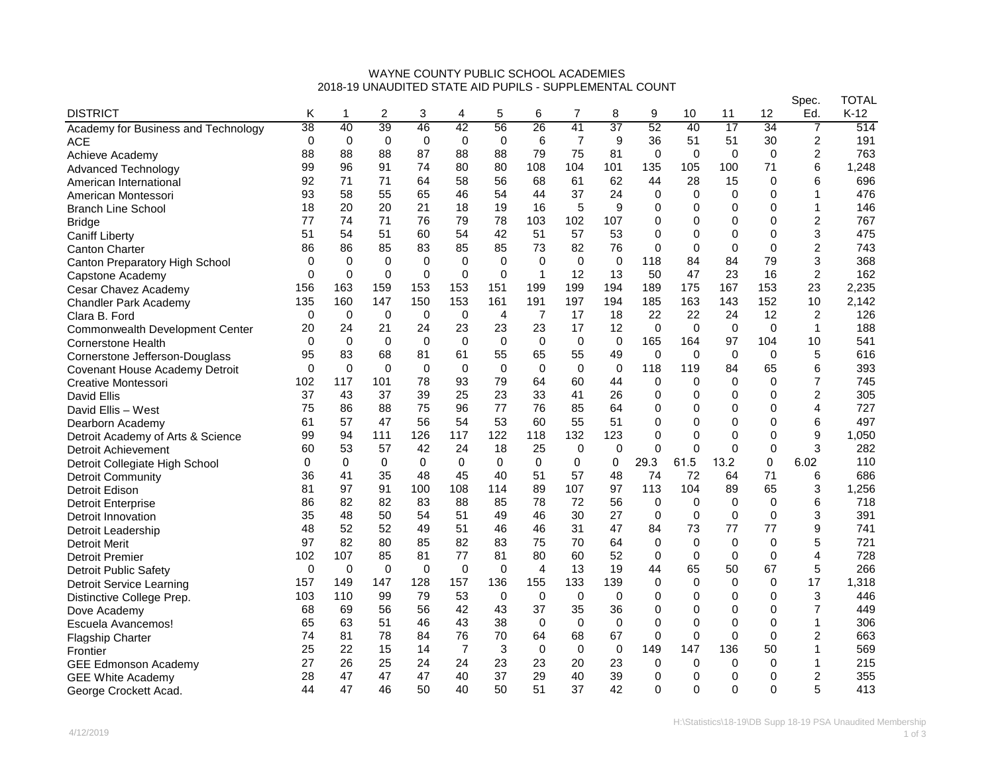## WAYNE COUNTY PUBLIC SCHOOL ACADEMIES 2018-19 UNAUDITED STATE AID PUPILS - SUPPLEMENTAL COUNT

|                                     |             |              |              |              |                |              |                |                |             |              |              |              |             | Spec.          | TOTAL  |
|-------------------------------------|-------------|--------------|--------------|--------------|----------------|--------------|----------------|----------------|-------------|--------------|--------------|--------------|-------------|----------------|--------|
| <b>DISTRICT</b>                     | Κ           | 1            | 2            | 3            | 4              | 5            | 6              | 7              | 8           | 9            | 10           | 11           | 12          | Ed.            | $K-12$ |
| Academy for Business and Technology | 38          | 40           | 39           | 46           | 42             | 56           | 26             | 41             | 37          | 52           | 40           | 17           | 34          | 7              | 514    |
| <b>ACE</b>                          | $\mathbf 0$ | $\mathbf 0$  | 0            | 0            | $\mathbf 0$    | 0            | 6              | $\overline{7}$ | 9           | 36           | 51           | 51           | 30          | 2              | 191    |
| Achieve Academy                     | 88          | 88           | 88           | 87           | 88             | 88           | 79             | 75             | 81          | 0            | $\mathbf 0$  | 0            | 0           | 2              | 763    |
| <b>Advanced Technology</b>          | 99          | 96           | 91           | 74           | 80             | 80           | 108            | 104            | 101         | 135          | 105          | 100          | 71          | 6              | 1,248  |
| American International              | 92          | 71           | 71           | 64           | 58             | 56           | 68             | 61             | 62          | 44           | 28           | 15           | 0           | 6              | 696    |
| American Montessori                 | 93          | 58           | 55           | 65           | 46             | 54           | 44             | 37             | 24          | 0            | $\Omega$     | $\Omega$     | 0           | 1              | 476    |
| <b>Branch Line School</b>           | 18          | 20           | 20           | 21           | 18             | 19           | 16             | 5              | 9           | 0            | $\Omega$     | $\Omega$     | 0           | 1              | 146    |
| <b>Bridge</b>                       | 77          | 74           | 71           | 76           | 79             | 78           | 103            | 102            | 107         | $\mathbf 0$  | $\Omega$     | $\Omega$     | 0           | 2              | 767    |
| <b>Caniff Liberty</b>               | 51          | 54           | 51           | 60           | 54             | 42           | 51             | 57             | 53          | 0            | $\Omega$     | 0            | 0           | 3              | 475    |
| <b>Canton Charter</b>               | 86          | 86           | 85           | 83           | 85             | 85           | 73             | 82             | 76          | $\Omega$     | $\mathbf{0}$ | $\mathbf{0}$ | $\Omega$    | $\overline{c}$ | 743    |
| Canton Preparatory High School      | 0           | 0            | $\Omega$     | $\mathbf 0$  | $\mathbf 0$    | $\mathbf 0$  | $\Omega$       | $\mathbf 0$    | $\mathbf 0$ | 118          | 84           | 84           | 79          | 3              | 368    |
| Capstone Academy                    | 0           | $\mathbf 0$  | 0            | 0            | 0              | $\mathbf 0$  | $\mathbf{1}$   | 12             | 13          | 50           | 47           | 23           | 16          | 2              | 162    |
| Cesar Chavez Academy                | 156         | 163          | 159          | 153          | 153            | 151          | 199            | 199            | 194         | 189          | 175          | 167          | 153         | 23             | 2,235  |
| <b>Chandler Park Academy</b>        | 135         | 160          | 147          | 150          | 153            | 161          | 191            | 197            | 194         | 185          | 163          | 143          | 152         | 10             | 2,142  |
| Clara B. Ford                       | $\Omega$    | $\mathbf 0$  | 0            | $\mathbf 0$  | $\mathbf 0$    | 4            | $\overline{7}$ | 17             | 18          | 22           | 22           | 24           | 12          | 2              | 126    |
| Commonwealth Development Center     | 20          | 24           | 21           | 24           | 23             | 23           | 23             | 17             | 12          | $\Omega$     | $\Omega$     | $\Omega$     | 0           | 1              | 188    |
| <b>Cornerstone Health</b>           | $\Omega$    | 0            | 0            | 0            | $\mathbf 0$    | $\mathbf 0$  | $\mathbf 0$    | 0              | $\mathbf 0$ | 165          | 164          | 97           | 104         | 10             | 541    |
| Cornerstone Jefferson-Douglass      | 95          | 83           | 68           | 81           | 61             | 55           | 65             | 55             | 49          | 0            | $\Omega$     | 0            | 0           | 5              | 616    |
| Covenant House Academy Detroit      | 0           | $\Omega$     | $\Omega$     | 0            | $\mathbf 0$    | $\mathbf 0$  | $\Omega$       | 0              | $\mathbf 0$ | 118          | 119          | 84           | 65          | 6              | 393    |
| Creative Montessori                 | 102         | 117          | 101          | 78           | 93             | 79           | 64             | 60             | 44          | $\mathbf 0$  | $\Omega$     | $\Omega$     | 0           | 7              | 745    |
| David Ellis                         | 37          | 43           | 37           | 39           | 25             | 23           | 33             | 41             | 26          | $\mathbf 0$  | $\Omega$     | $\Omega$     | 0           | 2              | 305    |
| David Ellis - West                  | 75          | 86           | 88           | 75           | 96             | 77           | 76             | 85             | 64          | $\mathbf 0$  | $\mathbf{0}$ | $\Omega$     | 0           | 4              | 727    |
| Dearborn Academy                    | 61          | 57           | 47           | 56           | 54             | 53           | 60             | 55             | 51          | $\mathbf 0$  | $\Omega$     | $\Omega$     | 0           | 6              | 497    |
| Detroit Academy of Arts & Science   | 99          | 94           | 111          | 126          | 117            | 122          | 118            | 132            | 123         | 0            | $\Omega$     | 0            | 0           | 9              | 1,050  |
| Detroit Achievement                 | 60          | 53           | 57           | 42           | 24             | 18           | 25             | $\Omega$       | $\Omega$    | $\Omega$     | $\Omega$     | $\Omega$     | $\Omega$    | 3              | 282    |
| Detroit Collegiate High School      | 0           | $\mathbf{0}$ | $\mathbf{0}$ | $\mathbf{0}$ | $\mathbf{0}$   | $\mathbf{0}$ | $\mathbf{0}$   | $\mathbf{0}$   | 0           | 29.3         | 61.5         | 13.2         | 0           | 6.02           | 110    |
| Detroit Community                   | 36          | 41           | 35           | 48           | 45             | 40           | 51             | 57             | 48          | 74           | 72           | 64           | 71          | 6              | 686    |
| <b>Detroit Edison</b>               | 81          | 97           | 91           | 100          | 108            | 114          | 89             | 107            | 97          | 113          | 104          | 89           | 65          | 3              | 1,256  |
| <b>Detroit Enterprise</b>           | 86          | 82           | 82           | 83           | 88             | 85           | 78             | 72             | 56          | $\mathbf 0$  | 0            | 0            | $\mathbf 0$ | 6              | 718    |
| Detroit Innovation                  | 35          | 48           | 50           | 54           | 51             | 49           | 46             | 30             | 27          | $\mathbf 0$  | $\Omega$     | $\Omega$     | 0           | 3              | 391    |
| Detroit Leadership                  | 48          | 52           | 52           | 49           | 51             | 46           | 46             | 31             | 47          | 84           | 73           | 77           | 77          | 9              | 741    |
| <b>Detroit Merit</b>                | 97          | 82           | 80           | 85           | 82             | 83           | 75             | 70             | 64          | $\mathbf 0$  | $\Omega$     | 0            | $\mathbf 0$ | 5              | 721    |
| <b>Detroit Premier</b>              | 102         | 107          | 85           | 81           | 77             | 81           | 80             | 60             | 52          | 0            | 0            | 0            | 0           | 4              | 728    |
| <b>Detroit Public Safety</b>        | 0           | 0            | $\Omega$     | $\Omega$     | 0              | 0            | $\overline{4}$ | 13             | 19          | 44           | 65           | 50           | 67          | 5              | 266    |
| <b>Detroit Service Learning</b>     | 157         | 149          | 147          | 128          | 157            | 136          | 155            | 133            | 139         | $\mathbf{0}$ | $\Omega$     | $\Omega$     | 0           | 17             | 1,318  |
| Distinctive College Prep.           | 103         | 110          | 99           | 79           | 53             | $\mathbf 0$  | $\mathbf 0$    | 0              | $\mathbf 0$ | $\mathbf 0$  | $\Omega$     | $\Omega$     | 0           | 3              | 446    |
| Dove Academy                        | 68          | 69           | 56           | 56           | 42             | 43           | 37             | 35             | 36          | $\mathbf 0$  | $\mathbf{0}$ | $\Omega$     | 0           | 7              | 449    |
| Escuela Avancemos!                  | 65          | 63           | 51           | 46           | 43             | 38           | $\mathbf 0$    | 0              | $\mathbf 0$ | $\mathbf 0$  | $\Omega$     | $\Omega$     | 0           | 1              | 306    |
| <b>Flagship Charter</b>             | 74          | 81           | 78           | 84           | 76             | 70           | 64             | 68             | 67          | 0            | 0            | 0            | 0           | 2              | 663    |
| Frontier                            | 25          | 22           | 15           | 14           | $\overline{7}$ | 3            | $\Omega$       | $\Omega$       | $\Omega$    | 149          | 147          | 136          | 50          | 1              | 569    |
| <b>GEE Edmonson Academy</b>         | 27          | 26           | 25           | 24           | 24             | 23           | 23             | 20             | 23          | 0            | $\Omega$     | $\Omega$     | $\Omega$    | 1              | 215    |
| <b>GEE White Academy</b>            | 28          | 47           | 47           | 47           | 40             | 37           | 29             | 40             | 39          | $\mathbf 0$  | 0            | 0            | 0           | 2              | 355    |
| George Crockett Acad.               | 44          | 47           | 46           | 50           | 40             | 50           | 51             | 37             | 42          | $\mathbf{0}$ | $\mathbf{0}$ | $\mathbf{0}$ | $\Omega$    | 5              | 413    |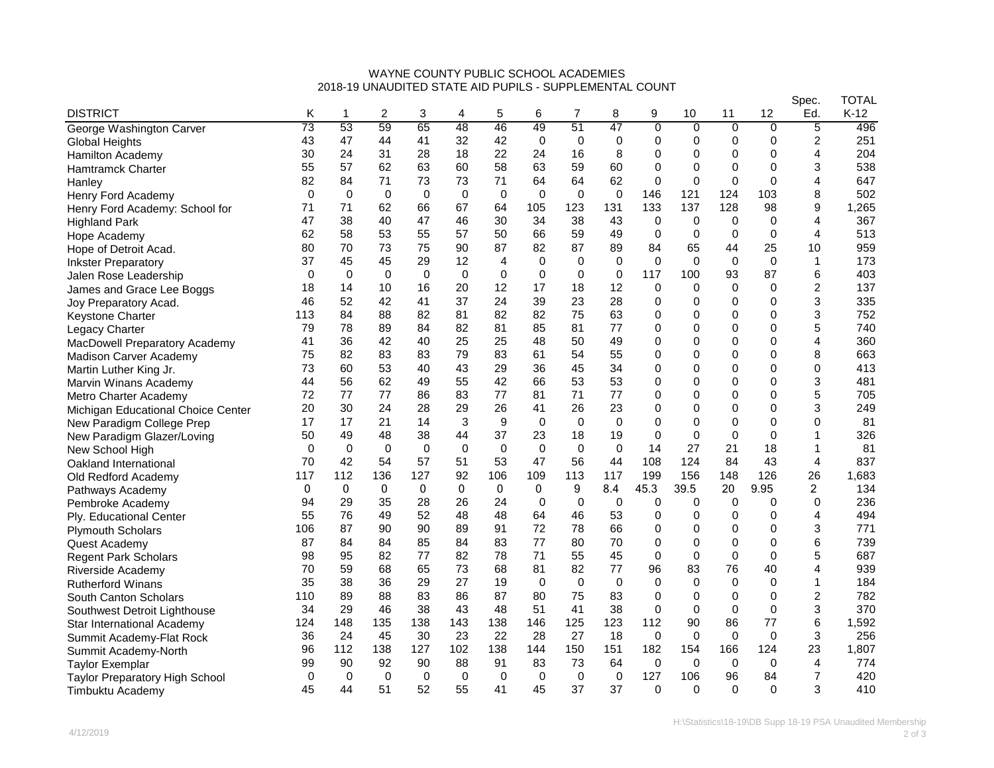## WAYNE COUNTY PUBLIC SCHOOL ACADEMIES 2018-19 UNAUDITED STATE AID PUPILS - SUPPLEMENTAL COUNT

|                                       |          |             |              |          |             |             |              |             |             |                |                |             |                | Spec.          | TOTAL  |
|---------------------------------------|----------|-------------|--------------|----------|-------------|-------------|--------------|-------------|-------------|----------------|----------------|-------------|----------------|----------------|--------|
| <b>DISTRICT</b>                       | Κ        | 1           | 2            | 3        | 4           | 5           | 6            | 7           | 8           | 9              | 10             | 11          | 12             | Ed.            | $K-12$ |
| George Washington Carver              | 73       | 53          | 59           | 65       | 48          | 46          | 49           | 51          | 47          | $\overline{0}$ | $\overline{0}$ | 0           | $\overline{0}$ | 5              | 496    |
| <b>Global Heights</b>                 | 43       | 47          | 44           | 41       | 32          | 42          | $\mathbf 0$  | 0           | 0           | 0              | 0              | 0           | 0              | 2              | 251    |
| Hamilton Academy                      | 30       | 24          | 31           | 28       | 18          | 22          | 24           | 16          | 8           | 0              | 0              | 0           | 0              | 4              | 204    |
| <b>Hamtramck Charter</b>              | 55       | 57          | 62           | 63       | 60          | 58          | 63           | 59          | 60          | 0              | 0              | 0           | $\Omega$       | 3              | 538    |
| Hanley                                | 82       | 84          | 71           | 73       | 73          | 71          | 64           | 64          | 62          | $\mathbf 0$    | 0              | 0           | 0              | 4              | 647    |
| Henry Ford Academy                    | $\Omega$ | $\Omega$    | $\Omega$     | 0        | $\mathbf 0$ | $\mathbf 0$ | $\Omega$     | 0           | $\mathbf 0$ | 146            | 121            | 124         | 103            | 8              | 502    |
| Henry Ford Academy: School for        | 71       | 71          | 62           | 66       | 67          | 64          | 105          | 123         | 131         | 133            | 137            | 128         | 98             | 9              | 1,265  |
| <b>Highland Park</b>                  | 47       | 38          | 40           | 47       | 46          | 30          | 34           | 38          | 43          | 0              | $\mathbf 0$    | 0           | 0              | 4              | 367    |
| Hope Academy                          | 62       | 58          | 53           | 55       | 57          | 50          | 66           | 59          | 49          | $\mathbf 0$    | 0              | 0           | 0              | 4              | 513    |
| Hope of Detroit Acad.                 | 80       | 70          | 73           | 75       | 90          | 87          | 82           | 87          | 89          | 84             | 65             | 44          | 25             | 10             | 959    |
| <b>Inkster Preparatory</b>            | 37       | 45          | 45           | 29       | 12          | 4           | 0            | 0           | $\mathbf 0$ | $\mathbf 0$    | $\mathbf 0$    | 0           | $\mathbf 0$    | 1              | 173    |
| Jalen Rose Leadership                 | $\Omega$ | $\Omega$    | $\Omega$     | 0        | 0           | $\mathbf 0$ | $\Omega$     | $\mathbf 0$ | $\mathbf 0$ | 117            | 100            | 93          | 87             | 6              | 403    |
| James and Grace Lee Boggs             | 18       | 14          | 10           | 16       | 20          | 12          | 17           | 18          | 12          | 0              | 0              | 0           | 0              | 2              | 137    |
| Joy Preparatory Acad.                 | 46       | 52          | 42           | 41       | 37          | 24          | 39           | 23          | 28          | 0              | 0              | 0           | 0              | 3              | 335    |
| <b>Keystone Charter</b>               | 113      | 84          | 88           | 82       | 81          | 82          | 82           | 75          | 63          | 0              | 0              | 0           | 0              | 3              | 752    |
| Legacy Charter                        | 79       | 78          | 89           | 84       | 82          | 81          | 85           | 81          | 77          | 0              | 0              | 0           | 0              | 5              | 740    |
| MacDowell Preparatory Academy         | 41       | 36          | 42           | 40       | 25          | 25          | 48           | 50          | 49          | 0              | 0              | 0           | $\mathbf 0$    | 4              | 360    |
| Madison Carver Academy                | 75       | 82          | 83           | 83       | 79          | 83          | 61           | 54          | 55          | 0              | $\mathbf 0$    | $\mathbf 0$ | $\Omega$       | 8              | 663    |
| Martin Luther King Jr.                | 73       | 60          | 53           | 40       | 43          | 29          | 36           | 45          | 34          | 0              | 0              | 0           | 0              | 0              | 413    |
| Marvin Winans Academy                 | 44       | 56          | 62           | 49       | 55          | 42          | 66           | 53          | 53          | 0              | 0              | 0           | 0              | 3              | 481    |
| Metro Charter Academy                 | 72       | 77          | 77           | 86       | 83          | 77          | 81           | 71          | 77          | 0              | 0              | 0           | 0              | 5              | 705    |
| Michigan Educational Choice Center    | 20       | 30          | 24           | 28       | 29          | 26          | 41           | 26          | 23          | 0              | 0              | 0           | 0              | 3              | 249    |
| New Paradigm College Prep             | 17       | 17          | 21           | 14       | 3           | 9           | $\Omega$     | 0           | $\mathbf 0$ | $\Omega$       | 0              | $\mathbf 0$ | $\mathbf{0}$   | 0              | 81     |
| New Paradigm Glazer/Loving            | 50       | 49          | 48           | 38       | 44          | 37          | 23           | 18          | 19          | 0              | $\mathbf 0$    | 0           | $\Omega$       | 1              | 326    |
| New School High                       | $\Omega$ | $\Omega$    | $\Omega$     | $\Omega$ | $\mathbf 0$ | $\Omega$    | $\Omega$     | $\Omega$    | $\Omega$    | 14             | 27             | 21          | 18             | 1              | 81     |
| Oakland International                 | 70       | 42          | 54           | 57       | 51          | 53          | 47           | 56          | 44          | 108            | 124            | 84          | 43             | 4              | 837    |
| Old Redford Academy                   | 117      | 112         | 136          | 127      | 92          | 106         | 109          | 113         | 117         | 199            | 156            | 148         | 126            | 26             | 1,683  |
| Pathways Academy                      | 0        | $\mathbf 0$ | $\mathbf{0}$ | 0        | 0           | 0           | $\mathbf{0}$ | 9           | 8.4         | 45.3           | 39.5           | 20          | 9.95           | $\overline{c}$ | 134    |
| Pembroke Academy                      | 94       | 29          | 35           | 28       | 26          | 24          | $\Omega$     | 0           | $\mathbf 0$ | 0              | $\Omega$       | 0           | 0              | 0              | 236    |
| Ply. Educational Center               | 55       | 76          | 49           | 52       | 48          | 48          | 64           | 46          | 53          | $\mathbf 0$    | 0              | 0           | 0              | 4              | 494    |
| <b>Plymouth Scholars</b>              | 106      | 87          | 90           | 90       | 89          | 91          | 72           | 78          | 66          | 0              | 0              | 0           | $\mathbf 0$    | 3              | 771    |
| Quest Academy                         | 87       | 84          | 84           | 85       | 84          | 83          | 77           | 80          | 70          | 0              | 0              | $\mathbf 0$ | 0              | 6              | 739    |
| <b>Regent Park Scholars</b>           | 98       | 95          | 82           | 77       | 82          | 78          | 71           | 55          | 45          | 0              | $\mathbf 0$    | 0           | $\mathbf 0$    | 5              | 687    |
| Riverside Academy                     | 70       | 59          | 68           | 65       | 73          | 68          | 81           | 82          | 77          | 96             | 83             | 76          | 40             | 4              | 939    |
| <b>Rutherford Winans</b>              | 35       | 38          | 36           | 29       | 27          | 19          | $\Omega$     | 0           | $\mathbf 0$ | 0              | $\Omega$       | 0           | 0              | 1              | 184    |
| South Canton Scholars                 | 110      | 89          | 88           | 83       | 86          | 87          | 80           | 75          | 83          | 0              | 0              | 0           | 0              | 2              | 782    |
| Southwest Detroit Lighthouse          | 34       | 29          | 46           | 38       | 43          | 48          | 51           | 41          | 38          | 0              | 0              | 0           | 0              | 3              | 370    |
| Star International Academy            | 124      | 148         | 135          | 138      | 143         | 138         | 146          | 125         | 123         | 112            | 90             | 86          | 77             | 6              | 1,592  |
| Summit Academy-Flat Rock              | 36       | 24          | 45           | 30       | 23          | 22          | 28           | 27          | 18          | 0              | $\mathbf 0$    | 0           | 0              | 3              | 256    |
| Summit Academy-North                  | 96       | 112         | 138          | 127      | 102         | 138         | 144          | 150         | 151         | 182            | 154            | 166         | 124            | 23             | 1,807  |
| <b>Taylor Exemplar</b>                | 99       | 90          | 92           | 90       | 88          | 91          | 83           | 73          | 64          | 0              | $\mathbf 0$    | 0           | 0              | 4              | 774    |
| <b>Taylor Preparatory High School</b> | 0        | $\Omega$    | 0            | 0        | 0           | 0           | 0            | 0           | $\mathbf 0$ | 127            | 106            | 96          | 84             | $\overline{7}$ | 420    |
| Timbuktu Academy                      | 45       | 44          | 51           | 52       | 55          | 41          | 45           | 37          | 37          | $\Omega$       | $\Omega$       | $\Omega$    | $\mathbf{0}$   | 3              | 410    |